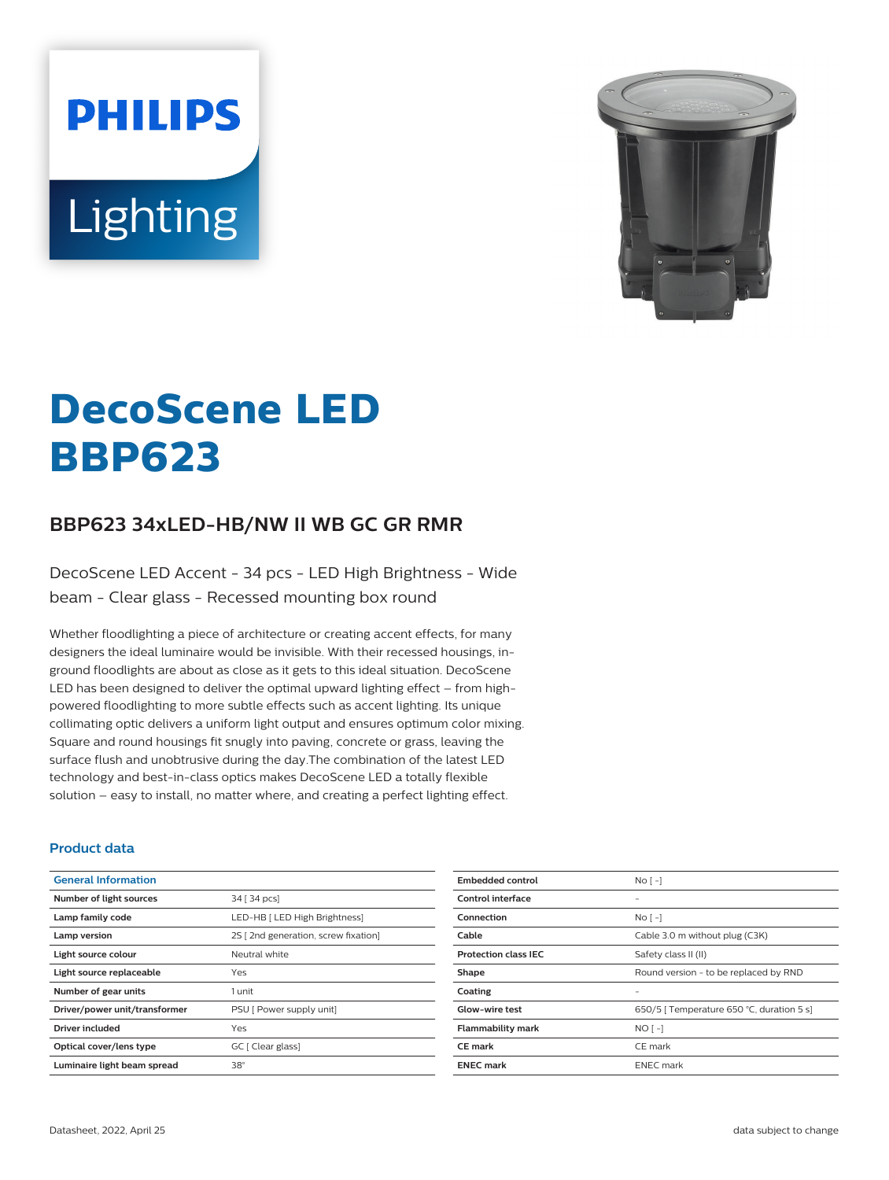**PHILIPS** Lighting



# **DecoScene LED BBP623**

# **BBP623 34xLED-HB/NW II WB GC GR RMR**

DecoScene LED Accent - 34 pcs - LED High Brightness - Wide beam - Clear glass - Recessed mounting box round

Whether floodlighting a piece of architecture or creating accent effects, for many designers the ideal luminaire would be invisible. With their recessed housings, inground floodlights are about as close as it gets to this ideal situation. DecoScene LED has been designed to deliver the optimal upward lighting effect – from highpowered floodlighting to more subtle effects such as accent lighting. Its unique collimating optic delivers a uniform light output and ensures optimum color mixing. Square and round housings fit snugly into paving, concrete or grass, leaving the surface flush and unobtrusive during the day.The combination of the latest LED technology and best-in-class optics makes DecoScene LED a totally flexible solution – easy to install, no matter where, and creating a perfect lighting effect.

#### **Product data**

| <b>General Information</b>    |                                      |
|-------------------------------|--------------------------------------|
| Number of light sources       | 34 [ 34 pcs]                         |
| Lamp family code              | LED-HB [ LED High Brightness]        |
| Lamp version                  | 2S [ 2nd generation, screw fixation] |
| Light source colour           | Neutral white                        |
| Light source replaceable      | Yes                                  |
| Number of gear units          | 1 unit                               |
| Driver/power unit/transformer | PSU [ Power supply unit]             |
| Driver included               | Yes                                  |
| Optical cover/lens type       | GC [ Clear glass]                    |
| Luminaire light beam spread   | $38^\circ$                           |

| <b>Embedded control</b>     | No <sub>1</sub>                           |
|-----------------------------|-------------------------------------------|
| Control interface           |                                           |
| Connection                  | No <sub>1</sub>                           |
| Cable                       | Cable 3.0 m without plug (C3K)            |
| <b>Protection class IEC</b> | Safety class II (II)                      |
| Shape                       | Round version - to be replaced by RND     |
| Coating                     |                                           |
| <b>Glow-wire test</b>       | 650/5   Temperature 650 °C, duration 5 s] |
| <b>Flammability mark</b>    | $NOT - 1$                                 |
| <b>CE</b> mark              | CE mark                                   |
| <b>ENEC mark</b>            | <b>ENEC</b> mark                          |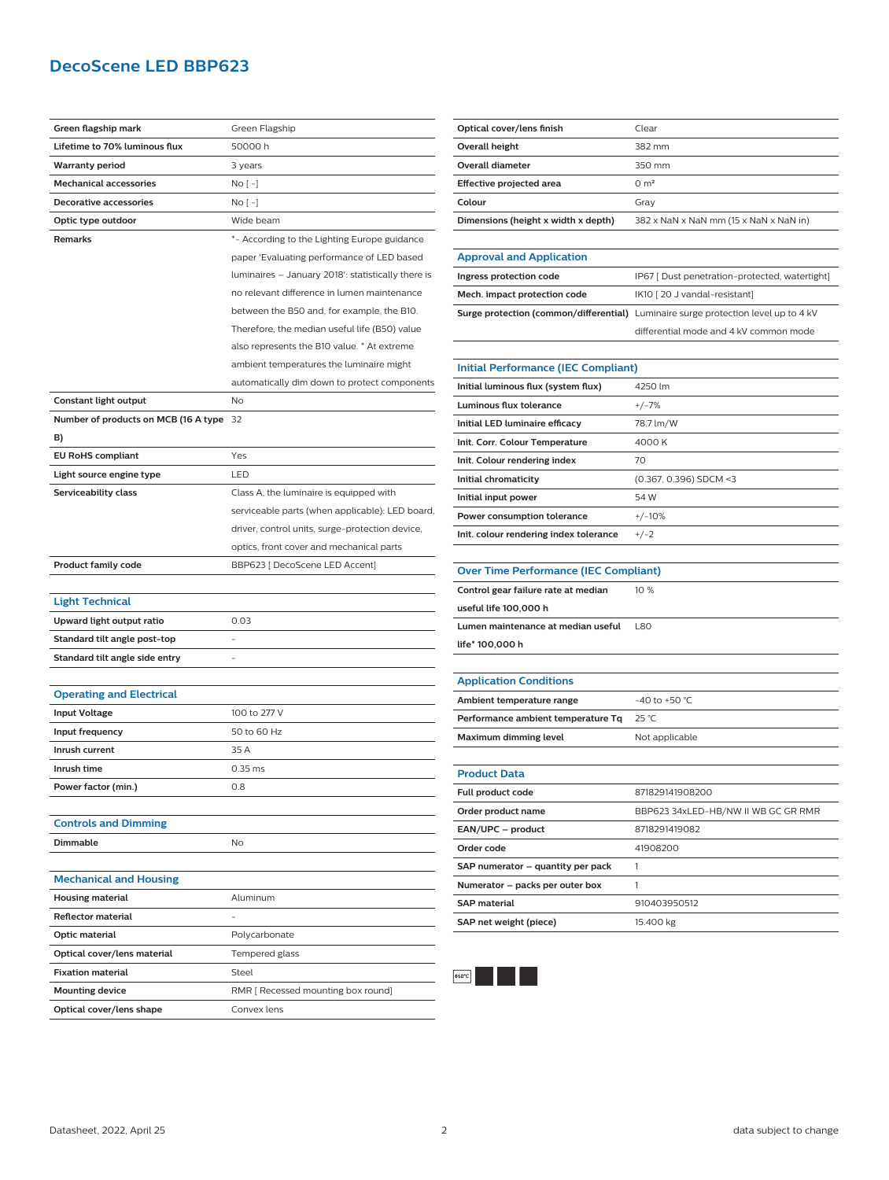## **DecoScene LED BBP623**

| Green flagship mark                  | Green Flagship                                     |
|--------------------------------------|----------------------------------------------------|
| Lifetime to 70% luminous flux        | 50000 h                                            |
| <b>Warranty period</b>               | 3 years                                            |
| <b>Mechanical accessories</b>        | No [ -]                                            |
| <b>Decorative accessories</b>        | No [ -]                                            |
| Optic type outdoor                   | Wide beam                                          |
| <b>Remarks</b>                       | *- According to the Lighting Europe guidance       |
|                                      | paper 'Evaluating performance of LED based         |
|                                      | luminaires - January 2018': statistically there is |
|                                      | no relevant difference in lumen maintenance        |
|                                      | between the B50 and, for example, the B10.         |
|                                      | Therefore, the median useful life (B50) value      |
|                                      | also represents the B10 value. * At extreme        |
|                                      | ambient temperatures the luminaire might           |
|                                      | automatically dim down to protect components       |
| Constant light output                | No                                                 |
| Number of products on MCB (16 A type | 32                                                 |
| B)                                   |                                                    |
| <b>EU RoHS compliant</b>             | Yes                                                |
| Light source engine type             | LED                                                |
| Serviceability class                 | Class A, the luminaire is equipped with            |
|                                      | serviceable parts (when applicable): LED board,    |
|                                      | driver, control units, surge-protection device,    |
|                                      | optics, front cover and mechanical parts           |
| <b>Product family code</b>           | BBP623 [ DecoScene LED Accent]                     |
|                                      |                                                    |
| <b>Light Technical</b>               |                                                    |
| Upward light output ratio            | 0.03                                               |
| Standard tilt angle post-top         |                                                    |
| Standard tilt angle side entry       |                                                    |
|                                      |                                                    |
| <b>Operating and Electrical</b>      |                                                    |
| <b>Input Voltage</b>                 | 100 to 277 V                                       |
| Input frequency                      | 50 to 60 Hz                                        |
| Inrush current                       | 35 A                                               |
| Inrush time                          | $0.35$ ms                                          |
| Power factor (min.)                  | 0.8                                                |
|                                      |                                                    |
| <b>Controls and Dimming</b>          |                                                    |
| Dimmable                             | No                                                 |
|                                      |                                                    |
| <b>Mechanical and Housing</b>        |                                                    |
| <b>Housing material</b>              | Aluminum                                           |
| Reflector material                   |                                                    |
| Optic material                       | Polycarbonate                                      |
| Optical cover/lens material          | Tempered glass                                     |
| <b>Fixation material</b>             | Steel                                              |
|                                      |                                                    |
| <b>Mounting device</b>               | RMR [ Recessed mounting box round]                 |
| Optical cover/lens shape             | Convex lens                                        |

| Optical cover/lens finish           | Clear                                          |
|-------------------------------------|------------------------------------------------|
| Overall height                      | 382 mm                                         |
| Overall diameter                    | 350 mm                                         |
| Effective projected area            | 0 m <sup>2</sup>                               |
| Colour                              | Grav                                           |
| Dimensions (height x width x depth) | 382 x NaN x NaN mm (15 x NaN x NaN in)         |
|                                     |                                                |
| <b>Approval and Application</b>     |                                                |
| Ingress protection code             | IP67 [ Dust penetration-protected, watertight] |

| Mech. impact protection code | IK10 [20 J vandal-resistant]                                                              |
|------------------------------|-------------------------------------------------------------------------------------------|
|                              | <b>Surge protection (common/differential)</b> Luminaire surge protection level up to 4 kV |
|                              | differential mode and 4 kV common mode                                                    |

L

 $\equiv$ 

 $\overline{a}$ 

| <b>Initial Performance (IEC Compliant)</b> |                          |
|--------------------------------------------|--------------------------|
| Initial luminous flux (system flux)        | 4250 lm                  |
| Luminous flux tolerance                    | $+/-7%$                  |
| Initial LED luminaire efficacy             | 78.7 lm/W                |
| Init. Corr. Colour Temperature             | 4000 K                   |
| Init. Colour rendering index               | 70                       |
| Initial chromaticity                       | $(0.367, 0.396)$ SDCM <3 |
| Initial input power                        | 54 W                     |
| Power consumption tolerance                | $+/-10%$                 |
| Init. colour rendering index tolerance     | $+/-2$                   |

| <b>Over Time Performance (IEC Compliant)</b> |            |
|----------------------------------------------|------------|
| Control gear failure rate at median          | 10%        |
| useful life 100,000 h                        |            |
| Lumen maintenance at median useful           | <b>L80</b> |
| life* 100.000 h                              |            |
|                                              |            |
| <b>Application Conditions</b>                |            |

| <b>Application Conditions</b>      |                  |
|------------------------------------|------------------|
| Ambient temperature range          | $-40$ to +50 °C. |
| Performance ambient temperature Tg | 25 °C            |
| Maximum dimming level              | Not applicable   |

#### **Product Data**

| Full product code                 | 871829141908200                     |
|-----------------------------------|-------------------------------------|
| Order product name                | BBP623 34xLED-HB/NW II WB GC GR RMR |
| EAN/UPC - product                 | 8718291419082                       |
| Order code                        | 41908200                            |
| SAP numerator - quantity per pack |                                     |
| Numerator - packs per outer box   |                                     |
| <b>SAP material</b>               | 910403950512                        |
| SAP net weight (piece)            | 15.400 kg                           |